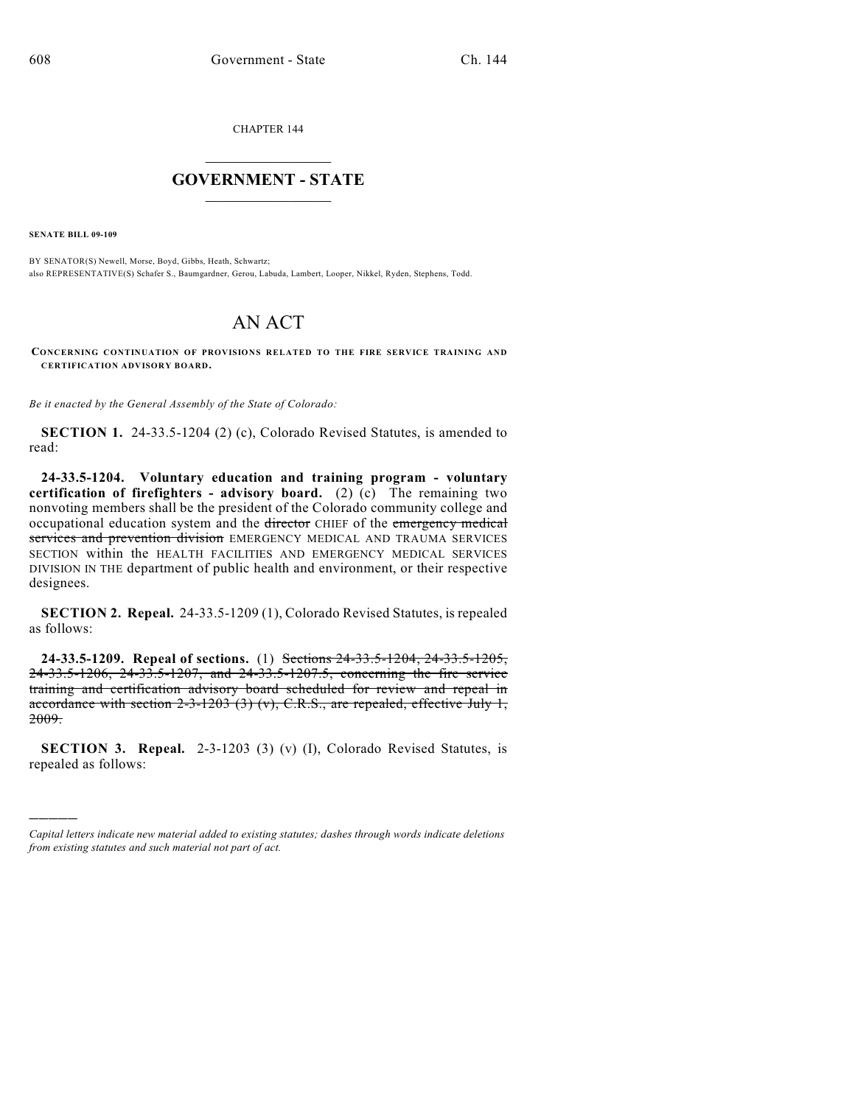CHAPTER 144

## $\overline{\phantom{a}}$  . The set of the set of the set of the set of the set of the set of the set of the set of the set of the set of the set of the set of the set of the set of the set of the set of the set of the set of the set o **GOVERNMENT - STATE**  $\_$

**SENATE BILL 09-109**

)))))

BY SENATOR(S) Newell, Morse, Boyd, Gibbs, Heath, Schwartz; also REPRESENTATIVE(S) Schafer S., Baumgardner, Gerou, Labuda, Lambert, Looper, Nikkel, Ryden, Stephens, Todd.

## AN ACT

**CONCERNING CONTINUATION OF PROVISIONS RELATED TO THE FIRE SERVICE TRAINING AND CERTIFICATION ADVISORY BOARD.**

*Be it enacted by the General Assembly of the State of Colorado:*

**SECTION 1.** 24-33.5-1204 (2) (c), Colorado Revised Statutes, is amended to read:

**24-33.5-1204. Voluntary education and training program - voluntary certification of firefighters - advisory board.** (2) (c) The remaining two nonvoting members shall be the president of the Colorado community college and occupational education system and the director CHIEF of the emergency medical services and prevention division EMERGENCY MEDICAL AND TRAUMA SERVICES SECTION within the HEALTH FACILITIES AND EMERGENCY MEDICAL SERVICES DIVISION IN THE department of public health and environment, or their respective designees.

**SECTION 2. Repeal.** 24-33.5-1209 (1), Colorado Revised Statutes, is repealed as follows:

**24-33.5-1209. Repeal of sections.** (1) Sections 24-33.5-1204, 24-33.5-1205, 24-33.5-1206, 24-33.5-1207, and 24-33.5-1207.5, concerning the fire service training and certification advisory board scheduled for review and repeal in accordance with section  $2-3-1203$  (3) (v), C.R.S., are repealed, effective July 1, 2009.

**SECTION 3. Repeal.** 2-3-1203 (3) (v) (I), Colorado Revised Statutes, is repealed as follows:

*Capital letters indicate new material added to existing statutes; dashes through words indicate deletions from existing statutes and such material not part of act.*